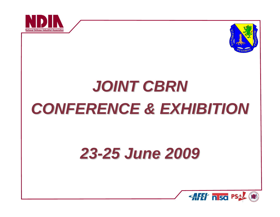



# *JOINT CBRN JOINT CBRN CONFERENCE & EXHIBITION CONFERENCE & EXHIBITION*

## *23 -25 June 2009 25 June 2009*

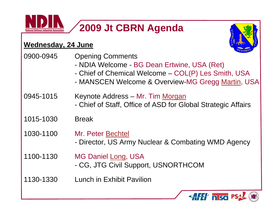

### **Wednesday, 24 June**



| 0900-0945 | <b>Opening Comments</b><br>- NDIA Welcome - BG Dean Ertwine, USA (Ret)<br>- Chief of Chemical Welcome - COL(P) Les Smith, USA<br>- MANSCEN Welcome & Overview-MG Gregg Martin, USA |
|-----------|------------------------------------------------------------------------------------------------------------------------------------------------------------------------------------|
| 0945-1015 | Keynote Address - Mr. Tim Morgan<br>- Chief of Staff, Office of ASD for Global Strategic Affairs                                                                                   |
| 1015-1030 | <b>Break</b>                                                                                                                                                                       |
| 1030-1100 | Mr. Peter Bechtel<br>- Director, US Army Nuclear & Combating WMD Agency                                                                                                            |
| 1100-1130 | MG Daniel Long, USA<br>- CG, JTG Civil Support, USNORTHCOM                                                                                                                         |
| 1130-1330 | Lunch in Exhibit Pavilion                                                                                                                                                          |

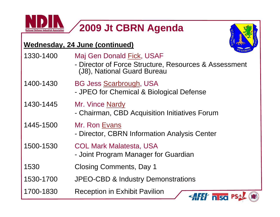

|           | <b>Wednesday, 24 June (continued)</b>                                                                             |
|-----------|-------------------------------------------------------------------------------------------------------------------|
| 1330-1400 | Maj Gen Donald Fick, USAF<br>- Director of Force Structure, Resources & Assessment<br>(J8), National Guard Bureau |
| 1400-1430 | <b>BG Jess Scarbrough, USA</b><br>- JPEO for Chemical & Biological Defense                                        |
| 1430-1445 | Mr. Vince Nardy<br>- Chairman, CBD Acquisition Initiatives Forum                                                  |
| 1445-1500 | Mr. Ron Evans<br>- Director, CBRN Information Analysis Center                                                     |
| 1500-1530 | <b>COL Mark Malatesta, USA</b><br>- Joint Program Manager for Guardian                                            |
| 1530      | <b>Closing Comments, Day 1</b>                                                                                    |
| 1530-1700 | <b>JPEO-CBD &amp; Industry Demonstrations</b>                                                                     |
| 1700-1830 | <b>Reception in Exhibit Pavilion</b><br><b>AFET nisc PS:</b>                                                      |

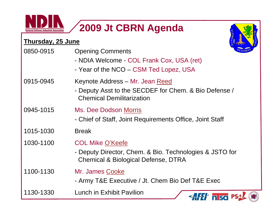

## **2009 Jt CBRN Agenda**

#### **Thursday, 25 June**



 $H'$  n so P.

0850-0915 Opening Comments - NDIA Welcome - COL Frank Cox, USA (ret) - Year of the NCO – CSM Ted Lopez, USA 0915-0945 Keynote Address – Mr. Jean Reed - Deputy Asst to the SECDEF for Chem. & Bio Defense / Chemical Demilitarization0945-1015 Ms. Dee Dodson Morris- Chief of Staff, Joint Requirements Office, Joint Staff 1015-1030 Break1030-1100 COL Mike O'Keefe - Deputy Director, Chem. & Bio. Technologies & JSTO for Chemical & Biological Defense, DTRA 1100-1130 Mr. James Cooke - Army T&E Executive / Jt. Chem Bio Def T&E Exec 1130-1330 Lunch in Exhibit Pavilion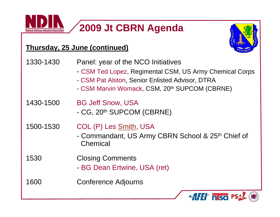

## **2009 Jt CBRN Agenda**

#### **Thursday, 25 June (continued)**



| 1330-1430 | Panel: year of the NCO Initiatives<br>- CSM Ted Lopez, Regimental CSM, US Army Chemical Corps<br>- CSM Pat Alston, Senior Enlisted Advisor, DTRA<br>- CSM Marvin Womack, CSM, 20 <sup>th</sup> SUPCOM (CBRNE) |
|-----------|---------------------------------------------------------------------------------------------------------------------------------------------------------------------------------------------------------------|
| 1430-1500 | <b>BG Jeff Snow, USA</b><br>- CG, 20th SUPCOM (CBRNE)                                                                                                                                                         |
| 1500-1530 | COL (P) Les Smith, USA<br>- Commandant, US Army CBRN School & 25th Chief of<br>Chemical                                                                                                                       |
| 1530      | <b>Closing Comments</b><br>- BG Dean Ertwine, USA (ret)                                                                                                                                                       |
| 1600      | Conference Adjourns                                                                                                                                                                                           |